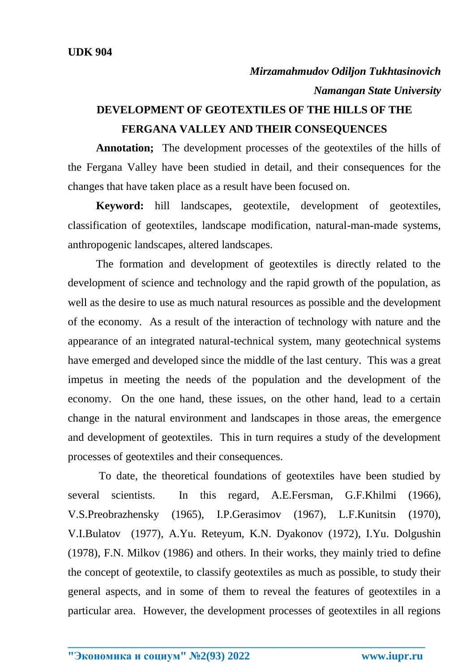## **DEVELOPMENT OF GEOTEXTILES OF THE HILLS OF THE FERGANA VALLEY AND THEIR CONSEQUENCES**

**Annotation;** The development processes of the geotextiles of the hills of the Fergana Valley have been studied in detail, and their consequences for the changes that have taken place as a result have been focused on.

**Keyword:** hill landscapes, geotextile, development of geotextiles, classification of geotextiles, landscape modification, natural-man-made systems, anthropogenic landscapes, altered landscapes.

The formation and development of geotextiles is directly related to the development of science and technology and the rapid growth of the population, as well as the desire to use as much natural resources as possible and the development of the economy. As a result of the interaction of technology with nature and the appearance of an integrated natural-technical system, many geotechnical systems have emerged and developed since the middle of the last century. This was a great impetus in meeting the needs of the population and the development of the economy. On the one hand, these issues, on the other hand, lead to a certain change in the natural environment and landscapes in those areas, the emergence and development of geotextiles. This in turn requires a study of the development processes of geotextiles and their consequences.

To date, the theoretical foundations of geotextiles have been studied by several scientists. In this regard, A.E.Fersman, G.F.Khilmi (1966), V.S.Preobrazhensky (1965), I.P.Gerasimov (1967), L.F.Kunitsin (1970), V.I.Bulatov (1977), A.Yu. Reteyum, K.N. Dyakonov (1972), I.Yu. Dolgushin (1978), F.N. Milkov (1986) and others. In their works, they mainly tried to define the concept of geotextile, to classify geotextiles as much as possible, to study their general aspects, and in some of them to reveal the features of geotextiles in a particular area. However, the development processes of geotextiles in all regions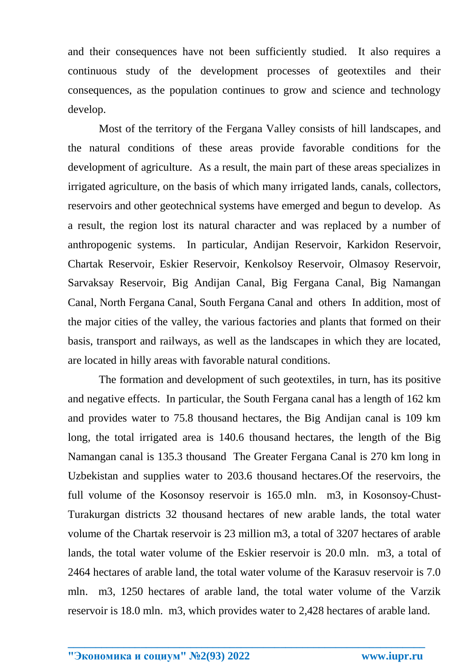and their consequences have not been sufficiently studied. It also requires a continuous study of the development processes of geotextiles and their consequences, as the population continues to grow and science and technology develop.

Most of the territory of the Fergana Valley consists of hill landscapes, and the natural conditions of these areas provide favorable conditions for the development of agriculture. As a result, the main part of these areas specializes in irrigated agriculture, on the basis of which many irrigated lands, canals, collectors, reservoirs and other geotechnical systems have emerged and begun to develop. As a result, the region lost its natural character and was replaced by a number of anthropogenic systems. In particular, Andijan Reservoir, Karkidon Reservoir, Chartak Reservoir, Eskier Reservoir, Kenkolsoy Reservoir, Olmasoy Reservoir, Sarvaksay Reservoir, Big Andijan Canal, Big Fergana Canal, Big Namangan Canal, North Fergana Canal, South Fergana Canal and others In addition, most of the major cities of the valley, the various factories and plants that formed on their basis, transport and railways, as well as the landscapes in which they are located, are located in hilly areas with favorable natural conditions.

The formation and development of such geotextiles, in turn, has its positive and negative effects. In particular, the South Fergana canal has a length of 162 km and provides water to 75.8 thousand hectares, the Big Andijan canal is 109 km long, the total irrigated area is 140.6 thousand hectares, the length of the Big Namangan canal is 135.3 thousand The Greater Fergana Canal is 270 km long in Uzbekistan and supplies water to 203.6 thousand hectares.Of the reservoirs, the full volume of the Kosonsoy reservoir is 165.0 mln. m3, in Kosonsoy-Chust-Turakurgan districts 32 thousand hectares of new arable lands, the total water volume of the Chartak reservoir is 23 million m3, a total of 3207 hectares of arable lands, the total water volume of the Eskier reservoir is 20.0 mln. m3, a total of 2464 hectares of arable land, the total water volume of the Karasuv reservoir is 7.0 mln. m3, 1250 hectares of arable land, the total water volume of the Varzik reservoir is 18.0 mln. m3, which provides water to 2,428 hectares of arable land.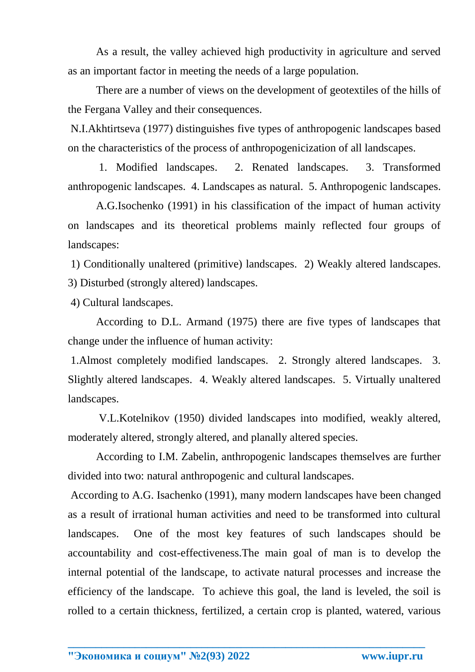As a result, the valley achieved high productivity in agriculture and served as an important factor in meeting the needs of a large population.

There are a number of views on the development of geotextiles of the hills of the Fergana Valley and their consequences.

N.I.Akhtirtseva (1977) distinguishes five types of anthropogenic landscapes based on the characteristics of the process of anthropogenicization of all landscapes.

1. Modified landscapes. 2. Renated landscapes. 3. Transformed anthropogenic landscapes. 4. Landscapes as natural. 5. Anthropogenic landscapes.

 A.G.Isochenko (1991) in his classification of the impact of human activity on landscapes and its theoretical problems mainly reflected four groups of landscapes:

1) Conditionally unaltered (primitive) landscapes. 2) Weakly altered landscapes. 3) Disturbed (strongly altered) landscapes.

4) Cultural landscapes.

According to D.L. Armand (1975) there are five types of landscapes that change under the influence of human activity:

1.Almost completely modified landscapes. 2. Strongly altered landscapes. 3. Slightly altered landscapes. 4. Weakly altered landscapes. 5. Virtually unaltered landscapes.

V.L.Kotelnikov (1950) divided landscapes into modified, weakly altered, moderately altered, strongly altered, and planally altered species.

According to I.M. Zabelin, anthropogenic landscapes themselves are further divided into two: natural anthropogenic and cultural landscapes.

According to A.G. Isachenko (1991), many modern landscapes have been changed as a result of irrational human activities and need to be transformed into cultural landscapes. One of the most key features of such landscapes should be accountability and cost-effectiveness.The main goal of man is to develop the internal potential of the landscape, to activate natural processes and increase the efficiency of the landscape. To achieve this goal, the land is leveled, the soil is rolled to a certain thickness, fertilized, a certain crop is planted, watered, various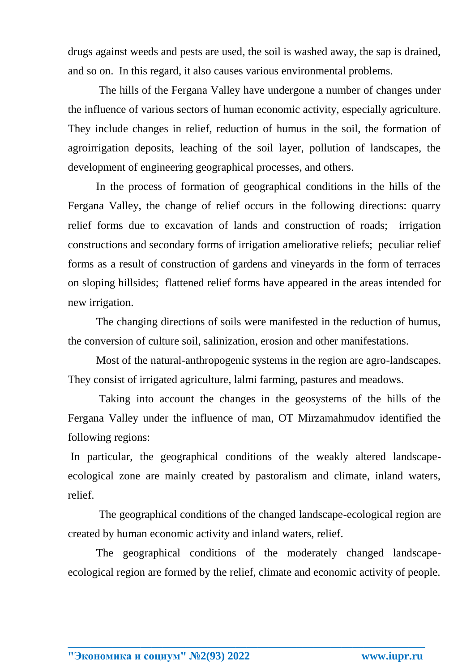drugs against weeds and pests are used, the soil is washed away, the sap is drained, and so on. In this regard, it also causes various environmental problems.

The hills of the Fergana Valley have undergone a number of changes under the influence of various sectors of human economic activity, especially agriculture. They include changes in relief, reduction of humus in the soil, the formation of agroirrigation deposits, leaching of the soil layer, pollution of landscapes, the development of engineering geographical processes, and others.

In the process of formation of geographical conditions in the hills of the Fergana Valley, the change of relief occurs in the following directions: quarry relief forms due to excavation of lands and construction of roads; irrigation constructions and secondary forms of irrigation ameliorative reliefs; peculiar relief forms as a result of construction of gardens and vineyards in the form of terraces on sloping hillsides; flattened relief forms have appeared in the areas intended for new irrigation.

The changing directions of soils were manifested in the reduction of humus, the conversion of culture soil, salinization, erosion and other manifestations.

Most of the natural-anthropogenic systems in the region are agro-landscapes. They consist of irrigated agriculture, lalmi farming, pastures and meadows.

Taking into account the changes in the geosystems of the hills of the Fergana Valley under the influence of man, OT Mirzamahmudov identified the following regions:

In particular, the geographical conditions of the weakly altered landscapeecological zone are mainly created by pastoralism and climate, inland waters, relief.

The geographical conditions of the changed landscape-ecological region are created by human economic activity and inland waters, relief.

The geographical conditions of the moderately changed landscapeecological region are formed by the relief, climate and economic activity of people.